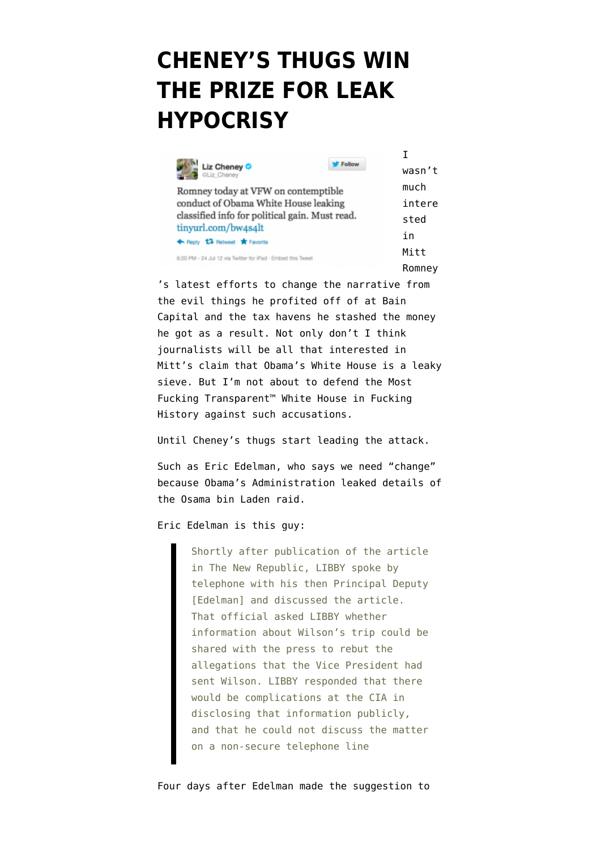## **[CHENEY'S THUGS WIN](https://www.emptywheel.net/2012/07/25/cheneys-thugs-win-the-prize-for-leak-hypocrisy/) [THE PRIZE FOR LEAK](https://www.emptywheel.net/2012/07/25/cheneys-thugs-win-the-prize-for-leak-hypocrisy/) [HYPOCRISY](https://www.emptywheel.net/2012/07/25/cheneys-thugs-win-the-prize-for-leak-hypocrisy/)**

| Liz Cheney<br><b>OLiz Cheney</b>                            | Follow | wasn't |
|-------------------------------------------------------------|--------|--------|
| Romney today at VFW on contemptible                         |        | much   |
| conduct of Obama White House leaking                        |        | intere |
| classified info for political gain. Must read.              |        | sted   |
| tinyurl.com/bw4s4lt                                         |        | in     |
| ← Reply <sup>17</sup> Retweet <b>★</b> Favorite             |        |        |
| 6:20 PM - 24 Jul 12 via Twitter for IPad - Embed this Tweet |        | Mitt   |
|                                                             |        | Romnev |

re

's [latest efforts](http://www.sacbee.com/2012/07/25/4657542/mitt-romney-citing-sen-dianne.html) to [change the narrative](http://foxnewsinsider.com/2012/07/24/transcript-mitt-romneys-remarks-at-vfw-national-convention/) from the evil things he profited off of at Bain Capital and the tax havens he stashed the money he got as a result. Not only don't I think journalists will be all that interested in Mitt's claim that Obama's White House is a leaky sieve. But I'm not about to defend the [Most](http://www.huffingtonpost.com/2012/07/19/timothy-geithner-neil-barofsky-tarp_n_1686047.html) [Fucking Transparent™ White House in Fucking](http://www.huffingtonpost.com/2012/07/19/timothy-geithner-neil-barofsky-tarp_n_1686047.html) [History](http://www.huffingtonpost.com/2012/07/19/timothy-geithner-neil-barofsky-tarp_n_1686047.html) against such accusations.

Until Cheney's thugs start leading the attack.

Such as Eric Edelman, who says [we need "change"](http://www.buzzfeed.com/andrewkaczynski/romney-advisor-who-hit-obama-on-leaks-was-involved) because Obama's Administration leaked details of the Osama bin Laden raid.

Eric Edelman is [this guy:](http://www.washingtonpost.com/wp-dyn/content/article/2005/10/28/AR2005102801086.html)

Shortly after publication of the article in The New Republic, LIBBY spoke by telephone with his then Principal Deputy [Edelman] and discussed the article. That official asked LIBBY whether information about Wilson's trip could be shared with the press to rebut the allegations that the Vice President had sent Wilson. LIBBY responded that there would be complications at the CIA in disclosing that information publicly, and that he could not discuss the matter on a non-secure telephone line

Four days after Edelman made the suggestion to